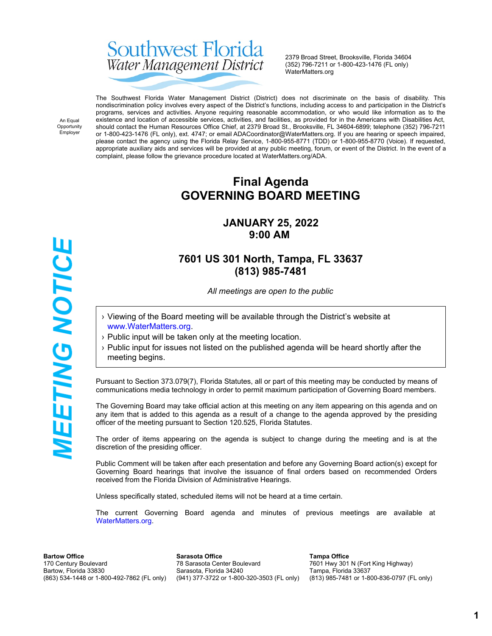# Southwest Florida Water Management District

2379 Broad Street, Brooksville, Florida 34604 (352) 796-7211 or 1-800-423-1476 (FL only) WaterMatters.org

An Equal Opportunity Employer

**WEETING NOTICE** 

The Southwest Florida Water Management District (District) does not discriminate on the basis of disability. This nondiscrimination policy involves every aspect of the District's functions, including access to and participation in the District's programs, services and activities. Anyone requiring reasonable accommodation, or who would like information as to the existence and location of accessible services, activities, and facilities, as provided for in the Americans with Disabilities Act, should contact the Human Resources Office Chief, at 2379 Broad St., Brooksville, FL 34604-6899; telephone (352) 796-7211 or 1-800-423-1476 (FL only), ext. 4747; or email ADACoordinator@WaterMatters.org. If you are hearing or speech impaired, please contact the agency using the Florida Relay Service, 1-800-955-8771 (TDD) or 1-800-955-8770 (Voice). If requested, appropriate auxiliary aids and services will be provided at any public meeting, forum, or event of the District. In the event of a complaint, please follow the grievance procedure located at WaterMatters.org/ADA.

# **Final Agenda GOVERNING BOARD MEETING**

# **JANUARY 25, 2022 9:00 AM**

# **7601 US 301 North, Tampa, FL 33637 (813) 985-7481**

*All meetings are open to the public*

- › Viewing of the Board meeting will be available through the District's website at [www.WaterMatters.org](https://www.watermatters.org/).
- › Public input will be taken only at the meeting location.
- › Public input for issues not listed on the published agenda will be heard shortly after the meeting begins.

Pursuant to Section 373.079(7), Florida Statutes, all or part of this meeting may be conducted by means of communications media technology in order to permit maximum participation of Governing Board members.

The Governing Board may take official action at this meeting on any item appearing on this agenda and on any item that is added to this agenda as a result of a change to the agenda approved by the presiding officer of the meeting pursuant to Section 120.525, Florida Statutes.

The order of items appearing on the agenda is subject to change during the meeting and is at the discretion of the presiding officer.

Public Comment will be taken after each presentation and before any Governing Board action(s) except for Governing Board hearings that involve the issuance of final orders based on recommended Orders received from the Florida Division of Administrative Hearings.

Unless specifically stated, scheduled items will not be heard at a time certain.

The current Governing Board agenda and minutes of previous meetings are available at [WaterMatters.org](https://www.watermatters.org).

**Bartow Office** 170 Century Boulevard Bartow, Florida 33830 (863) 534-1448 or 1-800-492-7862 (FL only)

**Sarasota Office** 78 Sarasota Center Boulevard Sarasota, Florida 34240 (941) 377-3722 or 1-800-320-3503 (FL only)

**Tampa Office** 7601 Hwy 301 N (Fort King Highway) Tampa, Florida 33637 (813) 985-7481 or 1-800-836-0797 (FL only)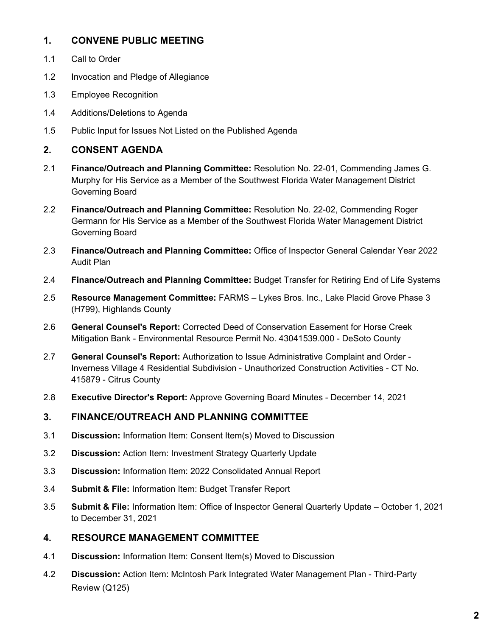# **1. CONVENE PUBLIC MEETING**

- 1.1 Call to Order
- 1.2 Invocation and Pledge of Allegiance
- 1.3 Employee Recognition
- 1.4 Additions/Deletions to Agenda
- 1.5 Public Input for Issues Not Listed on the Published Agenda

# **2. CONSENT AGENDA**

- 2.1 **Finance/Outreach and Planning Committee:** Resolution No. 22-01, Commending James G. Murphy for His Service as a Member of the Southwest Florida Water Management District Governing Board
- 2.2 **Finance/Outreach and Planning Committee:** Resolution No. 22-02, Commending Roger Germann for His Service as a Member of the Southwest Florida Water Management District Governing Board
- 2.3 **Finance/Outreach and Planning Committee:** Office of Inspector General Calendar Year 2022 Audit Plan
- 2.4 **Finance/Outreach and Planning Committee:** Budget Transfer for Retiring End of Life Systems
- 2.5 **Resource Management Committee:** FARMS Lykes Bros. Inc., Lake Placid Grove Phase 3 (H799), Highlands County
- 2.6 **General Counsel's Report:** Corrected Deed of Conservation Easement for Horse Creek Mitigation Bank - Environmental Resource Permit No. 43041539.000 - DeSoto County
- 2.7 **General Counsel's Report:** Authorization to Issue Administrative Complaint and Order Inverness Village 4 Residential Subdivision - Unauthorized Construction Activities - CT No. 415879 - Citrus County
- 2.8 **Executive Director's Report:** Approve Governing Board Minutes December 14, 2021

#### **3. FINANCE/OUTREACH AND PLANNING COMMITTEE**

- 3.1 **Discussion:** Information Item: Consent Item(s) Moved to Discussion
- 3.2 **Discussion:** Action Item: Investment Strategy Quarterly Update
- 3.3 **Discussion:** Information Item: 2022 Consolidated Annual Report
- 3.4 **Submit & File:** Information Item: Budget Transfer Report
- 3.5 **Submit & File:** Information Item: Office of Inspector General Quarterly Update October 1, 2021 to December 31, 2021

#### **4. RESOURCE MANAGEMENT COMMITTEE**

- 4.1 **Discussion:** Information Item: Consent Item(s) Moved to Discussion
- 4.2 **Discussion:** Action Item: McIntosh Park Integrated Water Management Plan Third-Party Review (Q125)